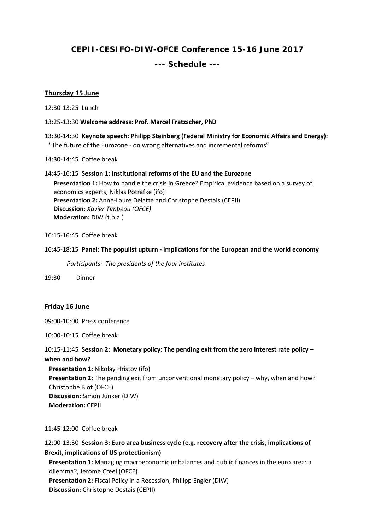# **CEPII-CESIFO-DIW-OFCE Conference 15-16 June 2017**

## **--- Schedule ---**

### **Thursday 15 June**

12:30-13:25 Lunch

13:25-13:30 **Welcome address: Prof. Marcel Fratzscher, PhD**

13:30-14:30 **Keynote speech: Philipp Steinberg (Federal Ministry for Economic Affairs and Energy):**  "The future of the Eurozone - on wrong alternatives and incremental reforms"

14:30-14:45 Coffee break

14:45-16:15 **Session 1: Institutional reforms of the EU and the Eurozone Presentation 1:** How to handle the crisis in Greece? Empirical evidence based on a survey of economics experts, Niklas Potrafke (ifo) **Presentation 2:** Anne-Laure Delatte and Christophe Destais (CEPII) **Discussion:** *Xavier Timbeau (OFCE)* **Moderation:** DIW (t.b.a.)

16:15-16:45 Coffee break

#### 16:45-18:15 **Panel: The populist upturn - Implications for the European and the world economy**

*Participants: The presidents of the four institutes*

19:30 Dinner

#### **Friday 16 June**

09:00-10:00 Press conference

10:00-10:15 Coffee break

10:15-11:45 **Session 2: Monetary policy: The pending exit from the zero interest rate policy – when and how?**

**Presentation 1:** Nikolay Hristov (ifo) **Presentation 2:** The pending exit from unconventional monetary policy – why, when and how? Christophe Blot (OFCE) **Discussion:** Simon Junker (DIW) **Moderation:** CEPII

11:45-12:00 Coffee break

12:00-13:30 **Session 3: Euro area business cycle (e.g. recovery after the crisis, implications of Brexit, implications of US protectionism) Presentation 1:** Managing macroeconomic imbalances and public finances in the euro area: a dilemma?, Jerome Creel (OFCE) **Presentation 2:** Fiscal Policy in a Recession, Philipp Engler (DIW) **Discussion:** Christophe Destais (CEPII)